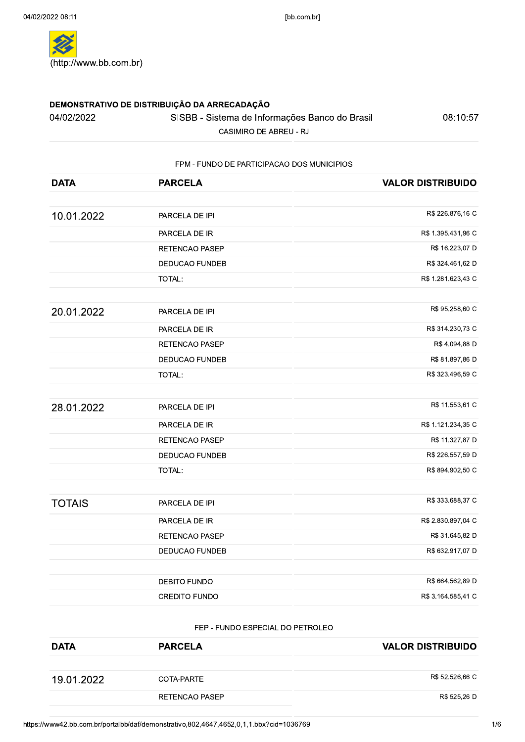| 04/02/2022    | SISBB - Sistema de Informações Banco do Brasil<br>CASIMIRO DE ABREU - RJ | 08:10:57                 |
|---------------|--------------------------------------------------------------------------|--------------------------|
|               | FPM - FUNDO DE PARTICIPACAO DOS MUNICIPIOS                               |                          |
| <b>DATA</b>   | <b>PARCELA</b>                                                           | <b>VALOR DISTRIBUIDO</b> |
| 10.01.2022    | PARCELA DE IPI                                                           | R\$ 226.876,16 C         |
|               | PARCELA DE IR                                                            | R\$ 1.395.431,96 C       |
|               | RETENCAO PASEP                                                           | R\$ 16.223,07 D          |
|               | DEDUCAO FUNDEB                                                           | R\$ 324.461,62 D         |
|               | TOTAL:                                                                   | R\$ 1.281.623,43 C       |
| 20.01.2022    | PARCELA DE IPI                                                           | R\$ 95.258,60 C          |
|               | PARCELA DE IR                                                            | R\$ 314.230,73 C         |
|               | RETENCAO PASEP                                                           | R\$ 4.094,88 D           |
|               | DEDUCAO FUNDEB                                                           | R\$ 81.897,86 D          |
|               | TOTAL:                                                                   | R\$ 323.496,59 C         |
| 28.01.2022    | PARCELA DE IPI                                                           | R\$ 11.553,61 C          |
|               | PARCELA DE IR                                                            | R\$ 1.121.234,35 C       |
|               | RETENCAO PASEP                                                           | R\$ 11.327,87 D          |
|               | DEDUCAO FUNDEB                                                           | R\$ 226.557,59 D         |
|               | TOTAL:                                                                   | R\$ 894.902,50 C         |
| <b>TOTAIS</b> | PARCELA DE IPI                                                           | R\$ 333.688,37 C         |
|               | PARCELA DE IR                                                            | R\$ 2.830.897,04 C       |
|               | RETENCAO PASEP                                                           | R\$ 31.645,82 D          |
|               | <b>DEDUCAO FUNDEB</b>                                                    | R\$ 632.917,07 D         |
|               | DEBITO FUNDO                                                             | R\$ 664.562,89 D         |
|               | <b>CREDITO FUNDO</b>                                                     | R\$ 3.164.585,41 C       |

## FEP - FUNDO ESPECIAL DO PETROLEO

|             | <b>DEBITO FUNDO</b>              | R\$ 664.562,89 D         |
|-------------|----------------------------------|--------------------------|
|             | <b>CREDITO FUNDO</b>             | R\$ 3.164.585,41 C       |
|             | FEP - FUNDO ESPECIAL DO PETROLEO |                          |
| <b>DATA</b> | <b>PARCELA</b>                   | <b>VALOR DISTRIBUIDO</b> |
|             |                                  |                          |
| 19.01.2022  | COTA-PARTE                       | R\$ 52.526,66 C          |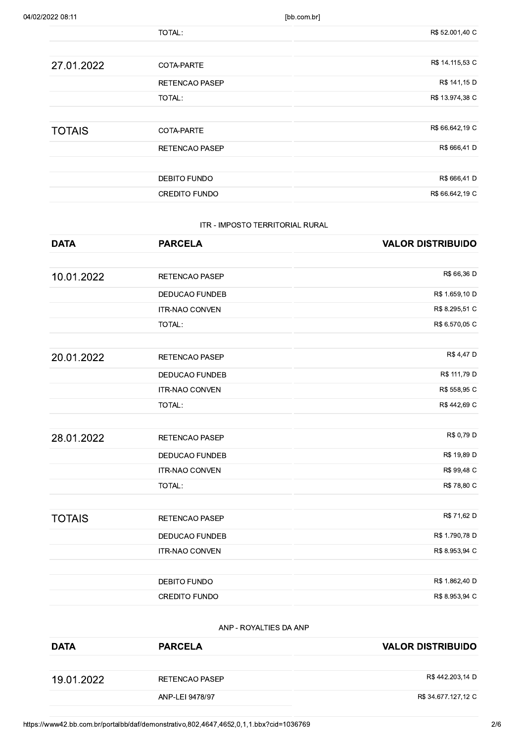| 04/02/2022 08:11 |                                 | [bb.com.br]              |
|------------------|---------------------------------|--------------------------|
|                  | TOTAL:                          | R\$ 52.001,40 C          |
| 27.01.2022       | COTA-PARTE                      | R\$ 14.115,53 C          |
|                  | RETENCAO PASEP                  | R\$ 141,15 D             |
|                  | TOTAL:                          | R\$ 13.974,38 C          |
| <b>TOTAIS</b>    | COTA-PARTE                      | R\$ 66.642,19 C          |
|                  | RETENCAO PASEP                  | R\$ 666,41 D             |
|                  | DEBITO FUNDO                    | R\$ 666,41 D             |
|                  | <b>CREDITO FUNDO</b>            | R\$ 66.642,19 C          |
|                  | ITR - IMPOSTO TERRITORIAL RURAL |                          |
| <b>DATA</b>      | <b>PARCELA</b>                  | <b>VALOR DISTRIBUIDO</b> |

| R\$ 666,41 D             | DEBITO FUNDO                    |               |
|--------------------------|---------------------------------|---------------|
| R\$ 66.642,19 C          | <b>CREDITO FUNDO</b>            |               |
|                          |                                 |               |
|                          | ITR - IMPOSTO TERRITORIAL RURAL |               |
| <b>VALOR DISTRIBUIDO</b> | <b>PARCELA</b>                  | <b>DATA</b>   |
|                          |                                 |               |
| R\$ 66,36 D              | RETENCAO PASEP                  | 10.01.2022    |
| R\$ 1.659,10 D           | DEDUCAO FUNDEB                  |               |
| R\$ 8.295,51 C           | <b>ITR-NAO CONVEN</b>           |               |
| R\$ 6.570,05 C           | TOTAL:                          |               |
|                          |                                 |               |
| R\$ 4,47 D               | RETENCAO PASEP                  | 20.01.2022    |
| R\$ 111,79 D             | DEDUCAO FUNDEB                  |               |
| R\$ 558,95 C             | ITR-NAO CONVEN                  |               |
| R\$ 442,69 C             | TOTAL:                          |               |
|                          |                                 |               |
| R\$ 0,79 D               | RETENCAO PASEP                  | 28.01.2022    |
| R\$ 19,89 D              | DEDUCAO FUNDEB                  |               |
| R\$ 99,48 C              | ITR-NAO CONVEN                  |               |
| R\$ 78,80 C              | TOTAL:                          |               |
| R\$ 71,62 D              | RETENCAO PASEP                  | <b>TOTAIS</b> |
| R\$ 1.790,78 D           | <b>DEDUCAO FUNDEB</b>           |               |
| R\$ 8.953,94 C           | <b>ITR-NAO CONVEN</b>           |               |
|                          |                                 |               |
| R\$ 1.862,40 D           | DEBITO FUNDO                    |               |
| R\$ 8.953,94 C           | CREDITO FUNDO                   |               |
|                          | ANP - ROYALTIES DA ANP          |               |
| <b>VALOR DISTRIBUIDO</b> | <b>PARCELA</b>                  | <b>DATA</b>   |

|             | <b>DEBITO FUNDO</b>    | R\$ 1.862,40 D           |
|-------------|------------------------|--------------------------|
|             | <b>CREDITO FUNDO</b>   | R\$ 8.953,94 C           |
|             |                        |                          |
|             | ANP - ROYALTIES DA ANP |                          |
| <b>DATA</b> | <b>PARCELA</b>         | <b>VALOR DISTRIBUIDO</b> |
|             |                        |                          |
| 19.01.2022  | <b>RETENCAO PASEP</b>  | R\$442.203,14 D          |
|             | ANP-LEI 9478/97        | R\$ 34.677.127,12 C      |
|             |                        |                          |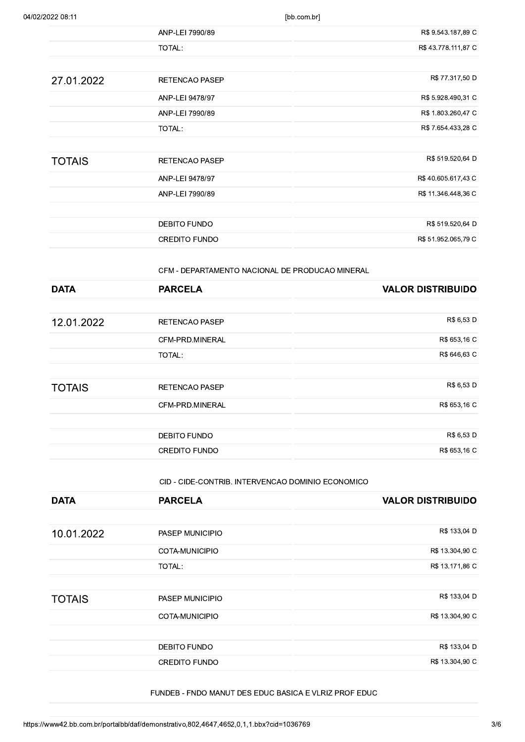| 04/02/2022 08:11 | [bb.com.br]           |                     |
|------------------|-----------------------|---------------------|
|                  | ANP-LEI 7990/89       | R\$ 9.543.187,89 C  |
|                  | TOTAL:                | R\$43.778.111,87 C  |
| 27.01.2022       | <b>RETENCAO PASEP</b> | R\$ 77.317,50 D     |
|                  | ANP-LEI 9478/97       | R\$ 5.928.490,31 C  |
|                  | ANP-LEI 7990/89       | R\$ 1.803.260,47 C  |
|                  | TOTAL:                | R\$ 7.654.433,28 C  |
|                  |                       | R\$ 519.520,64 D    |
| <b>TOTAIS</b>    | <b>RETENCAO PASEP</b> |                     |
|                  | ANP-LEI 9478/97       | R\$40.605.617,43 C  |
|                  | ANP-LEI 7990/89       | R\$ 11.346.448,36 C |
|                  | DEBITO FUNDO          | R\$ 519.520,64 D    |
|                  | CREDITO FUNDO         | R\$ 51.952.065,79 C |

|               | <b>DEBITO FUNDO</b>                             | R\$ 519.520,64 D         |
|---------------|-------------------------------------------------|--------------------------|
|               | <b>CREDITO FUNDO</b>                            | R\$ 51.952.065,79 C      |
|               |                                                 |                          |
|               | CFM - DEPARTAMENTO NACIONAL DE PRODUCAO MINERAL |                          |
| <b>DATA</b>   | <b>PARCELA</b>                                  | <b>VALOR DISTRIBUIDO</b> |
|               |                                                 |                          |
| 12.01.2022    | <b>RETENCAO PASEP</b>                           | R\$ 6,53 D               |
|               | CFM-PRD.MINERAL                                 | R\$ 653,16 C             |
|               | <b>TOTAL:</b>                                   | R\$ 646,63 C             |
|               |                                                 |                          |
| <b>TOTAIS</b> | <b>RETENCAO PASEP</b>                           | R\$ 6,53 D               |
|               | CFM-PRD.MINERAL                                 | R\$ 653,16 C             |
|               |                                                 |                          |
|               | <b>DEBITO FUNDO</b>                             | R\$ 6,53 D               |
|               |                                                 |                          |

|               | CID - CIDE-CONTRIB. INTERVENCAO DOMINIO ECONOMICO     |                          |
|---------------|-------------------------------------------------------|--------------------------|
| <b>DATA</b>   | <b>PARCELA</b>                                        | <b>VALOR DISTRIBUIDO</b> |
| 10.01.2022    | PASEP MUNICIPIO                                       |                          |
|               | COTA-MUNICIPIO                                        |                          |
|               | TOTAL:                                                |                          |
| <b>TOTAIS</b> | PASEP MUNICIPIO                                       |                          |
|               | COTA-MUNICIPIO                                        |                          |
|               | DEBITO FUNDO                                          |                          |
|               | <b>CREDITO FUNDO</b>                                  |                          |
|               | FUNDEB - FNDO MANUT DES EDUC BASICA E VLRIZ PROF EDUC |                          |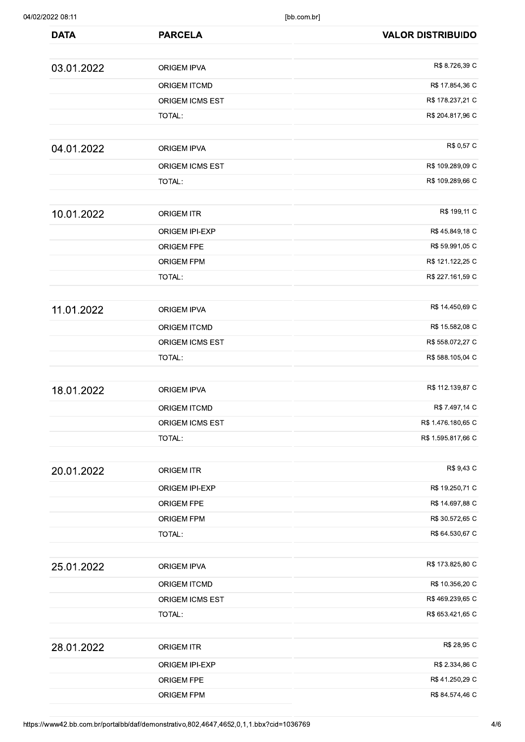| 04/02/2022 08:11 |                     | [bb.com.br]              |
|------------------|---------------------|--------------------------|
| <b>DATA</b>      | <b>PARCELA</b>      | <b>VALOR DISTRIBUIDO</b> |
| 03.01.2022       | ORIGEM IPVA         | R\$ 8.726,39 C           |
|                  | ORIGEM ITCMD        | R\$ 17.854,36 C          |
|                  | ORIGEM ICMS EST     | R\$ 178.237,21 C         |
|                  | TOTAL:              | R\$ 204.817,96 C         |
| 04.01.2022       | <b>ORIGEM IPVA</b>  | R\$ 0,57 C               |
|                  | ORIGEM ICMS EST     | R\$ 109.289,09 C         |
|                  | TOTAL:              | R\$ 109.289,66 C         |
| 10.01.2022       | <b>ORIGEM ITR</b>   | R\$ 199,11 C             |
|                  | ORIGEM IPI-EXP      | R\$ 45.849,18 C          |
|                  | ORIGEM FPE          | R\$ 59.991,05 C          |
|                  | <b>ORIGEM FPM</b>   | R\$ 121.122,25 C         |
|                  | TOTAL:              | R\$ 227.161,59 C         |
| 11.01.2022       | ORIGEM IPVA         | R\$ 14.450,69 C          |
|                  | <b>ORIGEM ITCMD</b> | R\$ 15.582,08 C          |
|                  | ORIGEM ICMS EST     | R\$ 558.072,27 C         |
|                  | TOTAL:              | R\$ 588.105,04 C         |
| 18.01.2022       | ORIGEM IPVA         | R\$ 112.139,87 C         |
|                  | ORIGEM ITCMD        | R\$ 7.497,14 C           |
|                  | ORIGEM ICMS EST     | R\$ 1.476.180,65 C       |
|                  | TOTAL:              | R\$ 1.595.817,66 C       |
| 20.01.2022       | <b>ORIGEM ITR</b>   | R\$ 9,43 C               |
|                  | ORIGEM IPI-EXP      | R\$ 19.250,71 C          |
|                  | ORIGEM FPE          | R\$ 14.697,88 C          |
|                  | ORIGEM FPM          | R\$ 30.572,65 C          |
|                  | TOTAL:              | R\$ 64.530,67 C          |
| 25.01.2022       | ORIGEM IPVA         | R\$ 173.825,80 C         |
|                  | ORIGEM ITCMD        | R\$ 10.356,20 C          |
|                  | ORIGEM ICMS EST     | R\$469.239,65 C          |
|                  | TOTAL:              | R\$ 653.421,65 C         |
| 28.01.2022       | <b>ORIGEM ITR</b>   | R\$ 28,95 C              |
|                  | ORIGEM IPI-EXP      | R\$ 2.334,86 C           |
|                  | ORIGEM FPE          | R\$ 41.250,29 C          |
|                  | <b>ORIGEM FPM</b>   | R\$ 84.574,46 C          |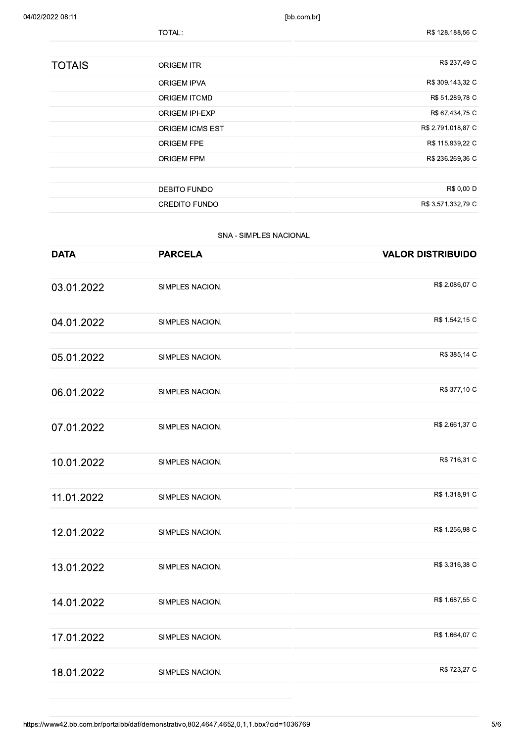|               | TOTAL:                 | R\$ 128.188,56 C   |
|---------------|------------------------|--------------------|
|               |                        |                    |
| <b>TOTAIS</b> | <b>ORIGEM ITR</b>      | R\$ 237,49 C       |
|               | <b>ORIGEM IPVA</b>     | R\$ 309.143,32 C   |
|               | <b>ORIGEM ITCMD</b>    | R\$ 51.289,78 C    |
|               | <b>ORIGEM IPI-EXP</b>  | R\$ 67.434,75 C    |
|               | <b>ORIGEM ICMS EST</b> | R\$ 2.791.018,87 C |
|               | <b>ORIGEM FPE</b>      | R\$ 115.939,22 C   |
|               | <b>ORIGEM FPM</b>      | R\$ 236.269,36 C   |
|               |                        |                    |
|               | <b>DEBITO FUNDO</b>    | R\$ 0,00 D         |
|               | <b>CREDITO FUNDO</b>   | R\$ 3.571.332,79 C |

# SNA - SIMPLES NACIONAL

| <b>DATA</b> | <b>PARCELA</b>  | <b>VALOR DISTRIBUIDO</b> |
|-------------|-----------------|--------------------------|
|             |                 |                          |
| 03.01.2022  | SIMPLES NACION. | R\$ 2.086,07 C           |
| 04.01.2022  | SIMPLES NACION. | R\$ 1.542,15 C           |
|             |                 |                          |
| 05.01.2022  | SIMPLES NACION. | R\$ 385,14 C             |
| 06.01.2022  | SIMPLES NACION. | R\$ 377,10 C             |
| 07.01.2022  | SIMPLES NACION. | R\$ 2.661,37 C           |
| 10.01.2022  | SIMPLES NACION. | R\$ 716,31 C             |
| 11.01.2022  | SIMPLES NACION. | R\$ 1.318,91 C           |
| 12.01.2022  | SIMPLES NACION. | R\$ 1.256,98 C           |
| 13.01.2022  | SIMPLES NACION. | R\$ 3.316,38 C           |
| 14.01.2022  | SIMPLES NACION. | R\$ 1.687,55 C           |
| 17.01.2022  | SIMPLES NACION. | R\$ 1.664,07 C           |
| 18.01.2022  | SIMPLES NACION. | R\$ 723,27 C             |